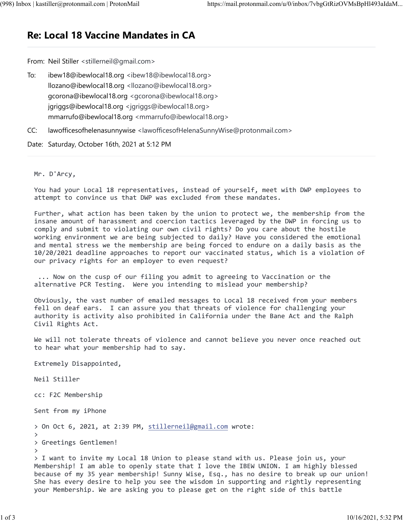## **Re: Local 18 Vaccine Mandates in CA**

From: Neil Stiller <stillerneil@gmail.com>

- To: ibew18@ibewlocal18.org <ibew18@ibewlocal18.org> llozano@ibewlocal18.org <llozano@ibewlocal18.org> gcorona@ibewlocal18.org <gcorona@ibewlocal18.org> jgriggs@ibewlocal18.org <jgriggs@ibewlocal18.org> mmarrufo@ibewlocal18.org <mmarrufo@ibewlocal18.org>
- CC: lawofficesofhelenasunnywise <lawofficesofHelenaSunnyWise@protonmail.com>

Date: Saturday, October 16th, 2021 at 5:12 PM

## Mr. D'Arcy,

You had your Local 18 representatives, instead of yourself, meet with DWP employees to attempt to convince us that DWP was excluded from these mandates.

Further, what action has been taken by the union to protect we, the membership from the insane amount of harassment and coercion tactics leveraged by the DWP in forcing us to comply and submit to violating our own civil rights? Do you care about the hostile working environment we are being subjected to daily? Have you considered the emotional and mental stress we the membership are being forced to endure on a daily basis as the 10/20/2021 deadline approaches to report our vaccinated status, which is a violation of our privacy rights for an employer to even request?

 ... Now on the cusp of our filing you admit to agreeing to Vaccination or the alternative PCR Testing. Were you intending to mislead your membership?

Obviously, the vast number of emailed messages to Local 18 received from your members fell on deaf ears. I can assure you that threats of violence for challenging your authority is activity also prohibited in California under the Bane Act and the Ralph Civil Rights Act.

We will not tolerate threats of violence and cannot believe you never once reached out to hear what your membership had to say.

Extremely Disappointed,

Neil Stiller

cc: F2C Membership

Sent from my iPhone

> On Oct 6, 2021, at 2:39 PM, [stillerneil@gmail.com](mailto:stillerneil@gmail.com) wrote:

```
> Greetings Gentlemen!
```
>

>

> I want to invite my Local 18 Union to please stand with us. Please join us, your Membership! I am able to openly state that I love the IBEW UNION. I am highly blessed because of my 35 year membership! Sunny Wise, Esq., has no desire to break up our union! She has every desire to help you see the wisdom in supporting and rightly representing your Membership. We are asking you to please get on the right side of this battle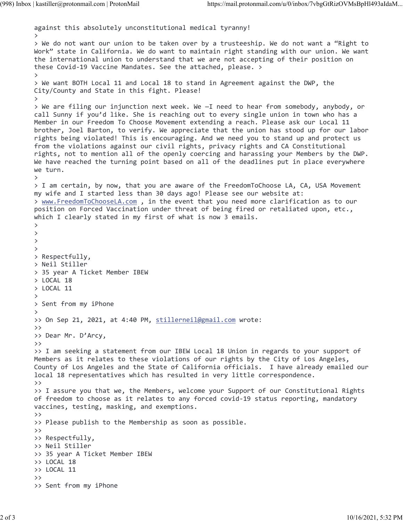```
against this absolutely unconstitutional medical tyranny!
>
> We do not want our union to be taken over by a trusteeship. We do not want a "Right to 
Work" state in California. We do want to maintain right standing with our union. We want 
the international union to understand that we are not accepting of their position on 
these Covid-19 Vaccine Mandates. See the attached, please. >
>
> We want BOTH Local 11 and Local 18 to stand in Agreement against the DWP, the 
City/County and State in this fight. Please!
>
> We are filing our injunction next week. We —I need to hear from somebody, anybody, or 
call Sunny if you'd like. She is reaching out to every single union in town who has a 
Member in our Freedom To Choose Movement extending a reach. Please ask our Local 11 
brother, Joel Barton, to verify. We appreciate that the union has stood up for our labor 
rights being violated! This is encouraging. And we need you to stand up and protect us 
from the violations against our civil rights, privacy rights and CA Constitutional 
rights, not to mention all of the openly coercing and harassing your Members by the DWP. 
We have reached the turning point based on all of the deadlines put in place everywhere 
we turn.
>
> I am certain, by now, that you are aware of the FreedomToChoose LA, CA, USA Movement 
my wife and I started less than 30 days ago! Please see our website at:
> www.FreedomToChooseLA.com , in the event that you need more clarification as to our 
position on Forced Vaccination under threat of being fired or retaliated upon, etc., 
which I clearly stated in my first of what is now 3 emails.
>
>
>
>
> Respectfully,
> Neil Stiller
> 35 year A Ticket Member IBEW
> LOCAL 18
> LOCAL 11
>
> Sent from my iPhone
>
 stillerneil@gmail.com wrote:
>> 
>> Dear Mr. D'Arcy,
>>
>> I am seeking a statement from our IBEW Local 18 Union in regards to your support of 
Members as it relates to these violations of our rights by the City of Los Angeles, 
County of Los Angeles and the State of California officials. I have already emailed our 
local 18 representatives which has resulted in very little correspondence.
>>
>> I assure you that we, the Members, welcome your Support of our Constitutional Rights 
of freedom to choose as it relates to any forced covid-19 status reporting, mandatory 
vaccines, testing, masking, and exemptions.
>>
>> Please publish to the Membership as soon as possible.
>>
>> Respectfully,
>> Neil Stiller
>> 35 year A Ticket Member IBEW
>> LOCAL 18
>> LOCAL 11
>>
>> Sent from my iPhone
```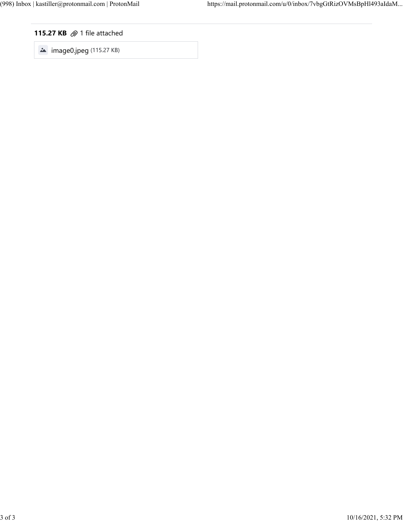## **115.27 KB**  $\oslash$  1 file attached

 $\bullet$  image0.jpeg (115.27 KB)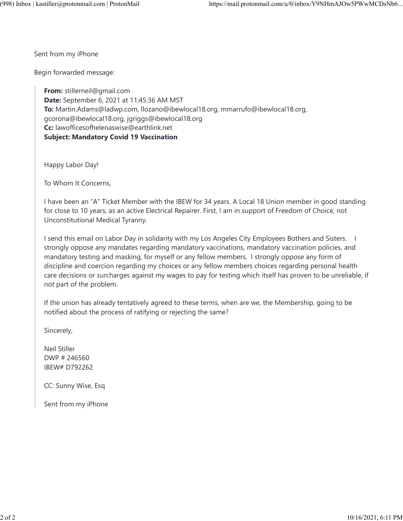Sent from my iPhone

Begin forwarded message:

**From:** stillerneil@gmail.com **Date:** September 6, 2021 at 11:45:36 AM MST **To:** Martin.Adams@ladwp.com, llozano@ibewlocal18.org, mmarrufo@ibewlocal18.org, gcorona@ibewlocal18.org, jgriggs@ibewlocal18.org **Cc:** lawofficesofhelenaswise@earthlink.net **Subject: Mandatory Covid 19 Vaccination**

Happy Labor Day!

To Whom It Concerns,

I have been an "A" Ticket Member with the IBEW for 34 years. A Local 18 Union member in good standing for close to 10 years, as an active Electrical Repairer. First, I am in support of Freedom of Choice, not Unconstitutional Medical Tyranny.

I send this email on Labor Day in solidarity with my Los Angeles City Employees Bothers and Sisters. I strongly oppose any mandates regarding mandatory vaccinations, mandatory vaccination policies, and mandatory testing and masking, for myself or any fellow members. I strongly oppose any form of discipline and coercion regarding my choices or any fellow members choices regarding personal health care decisions or surcharges against my wages to pay for testing which itself has proven to be unreliable, if not part of the problem.

If the union has already tentatively agreed to these terms, when are we, the Membership, going to be notified about the process of ratifying or rejecting the same?

Sincerely,

Neil Stiller DWP # 246560 IBEW# D792262

CC: Sunny Wise, Esq

Sent from my iPhone